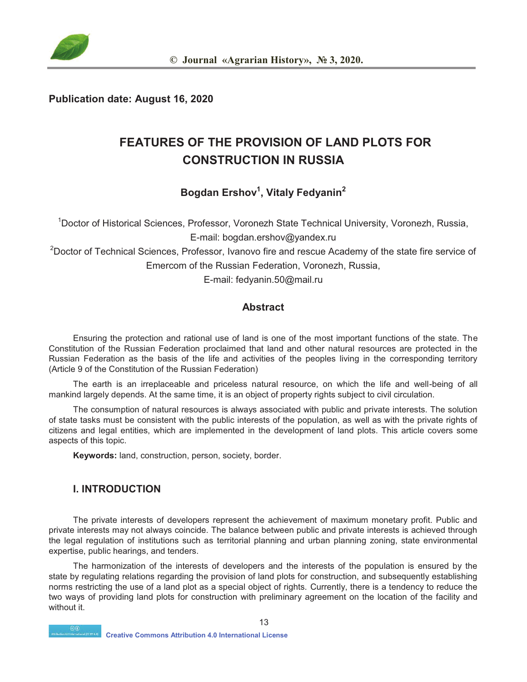

#### **Publication date: August 16, 2020**

# **FEATURES OF THE PROVISION OF LAND PLOTS FOR CONSTRUCTION IN RUSSIA**

## **Bogdan Ershov1 , Vitaly Fedyanin<sup>2</sup>**

1 Doctor of Historical Sciences, Professor, Voronezh State Technical University, Voronezh, Russia, E-mail: bogdan.ershov@yandex.ru <sup>2</sup>Doctor of Technical Sciences, Professor, Ivanovo fire and rescue Academy of the state fire service of Emercom of the Russian Federation, Voronezh, Russia,

E-mail: fedyanin.50@mail.ru

### **Abstract**

Ensuring the protection and rational use of land is one of the most important functions of the state. The Constitution of the Russian Federation proclaimed that land and other natural resources are protected in the Russian Federation as the basis of the life and activities of the peoples living in the corresponding territory (Article 9 of the Constitution of the Russian Federation)

The earth is an irreplaceable and priceless natural resource, on which the life and well-being of all mankind largely depends. At the same time, it is an object of property rights subject to civil circulation.

The consumption of natural resources is always associated with public and private interests. The solution of state tasks must be consistent with the public interests of the population, as well as with the private rights of citizens and legal entities, which are implemented in the development of land plots. This article covers some aspects of this topic.

**Keywords:** land, construction, person, society, border.

#### **I. INTRODUCTION**

The private interests of developers represent the achievement of maximum monetary profit. Public and private interests may not always coincide. The balance between public and private interests is achieved through the legal regulation of institutions such as territorial planning and urban planning zoning, state environmental expertise, public hearings, and tenders.

The harmonization of the interests of developers and the interests of the population is ensured by the state by regulating relations regarding the provision of land plots for construction, and subsequently establishing norms restricting the use of a land plot as a special object of rights. Currently, there is a tendency to reduce the two ways of providing land plots for construction with preliminary agreement on the location of the facility and without it.

13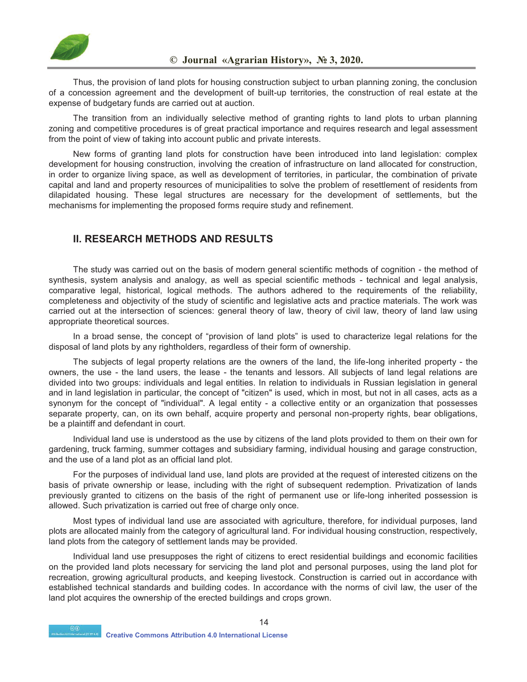

Thus, the provision of land plots for housing construction subject to urban planning zoning, the conclusion of a concession agreement and the development of built-up territories, the construction of real estate at the expense of budgetary funds are carried out at auction.

The transition from an individually selective method of granting rights to land plots to urban planning zoning and competitive procedures is of great practical importance and requires research and legal assessment from the point of view of taking into account public and private interests.

New forms of granting land plots for construction have been introduced into land legislation: complex development for housing construction, involving the creation of infrastructure on land allocated for construction, in order to organize living space, as well as development of territories, in particular, the combination of private capital and land and property resources of municipalities to solve the problem of resettlement of residents from dilapidated housing. These legal structures are necessary for the development of settlements, but the mechanisms for implementing the proposed forms require study and refinement.

### **II. RESEARCH METHODS AND RESULTS**

The study was carried out on the basis of modern general scientific methods of cognition - the method of synthesis, system analysis and analogy, as well as special scientific methods - technical and legal analysis, comparative legal, historical, logical methods. The authors adhered to the requirements of the reliability, completeness and objectivity of the study of scientific and legislative acts and practice materials. The work was carried out at the intersection of sciences: general theory of law, theory of civil law, theory of land law using appropriate theoretical sources.

In a broad sense, the concept of "provision of land plots" is used to characterize legal relations for the disposal of land plots by any rightholders, regardless of their form of ownership.

The subjects of legal property relations are the owners of the land, the life-long inherited property - the owners, the use - the land users, the lease - the tenants and lessors. All subjects of land legal relations are divided into two groups: individuals and legal entities. In relation to individuals in Russian legislation in general and in land legislation in particular, the concept of "citizen" is used, which in most, but not in all cases, acts as a synonym for the concept of "individual". A legal entity - a collective entity or an organization that possesses separate property, can, on its own behalf, acquire property and personal non-property rights, bear obligations, be a plaintiff and defendant in court.

Individual land use is understood as the use by citizens of the land plots provided to them on their own for gardening, truck farming, summer cottages and subsidiary farming, individual housing and garage construction, and the use of a land plot as an official land plot.

For the purposes of individual land use, land plots are provided at the request of interested citizens on the basis of private ownership or lease, including with the right of subsequent redemption. Privatization of lands previously granted to citizens on the basis of the right of permanent use or life-long inherited possession is allowed. Such privatization is carried out free of charge only once.

Most types of individual land use are associated with agriculture, therefore, for individual purposes, land plots are allocated mainly from the category of agricultural land. For individual housing construction, respectively, land plots from the category of settlement lands may be provided.

Individual land use presupposes the right of citizens to erect residential buildings and economic facilities on the provided land plots necessary for servicing the land plot and personal purposes, using the land plot for recreation, growing agricultural products, and keeping livestock. Construction is carried out in accordance with established technical standards and building codes. In accordance with the norms of civil law, the user of the land plot acquires the ownership of the erected buildings and crops grown.

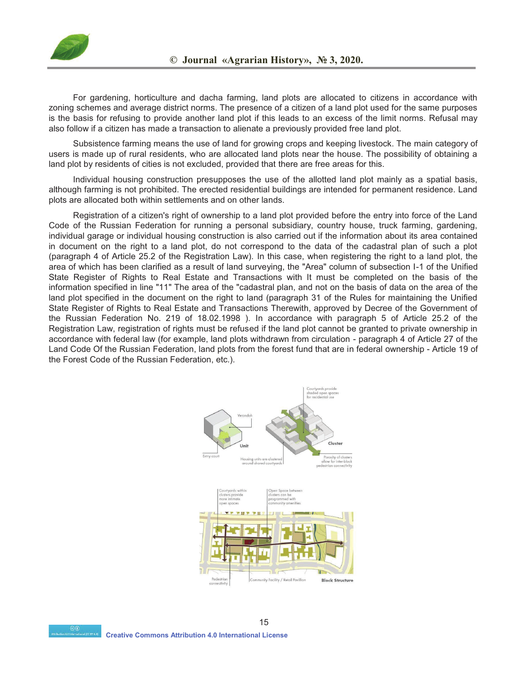

For gardening, horticulture and dacha farming, land plots are allocated to citizens in accordance with zoning schemes and average district norms. The presence of a citizen of a land plot used for the same purposes is the basis for refusing to provide another land plot if this leads to an excess of the limit norms. Refusal may also follow if a citizen has made a transaction to alienate a previously provided free land plot.

Subsistence farming means the use of land for growing crops and keeping livestock. The main category of users is made up of rural residents, who are allocated land plots near the house. The possibility of obtaining a land plot by residents of cities is not excluded, provided that there are free areas for this.

Individual housing construction presupposes the use of the allotted land plot mainly as a spatial basis, although farming is not prohibited. The erected residential buildings are intended for permanent residence. Land plots are allocated both within settlements and on other lands.

Registration of a citizen's right of ownership to a land plot provided before the entry into force of the Land Code of the Russian Federation for running a personal subsidiary, country house, truck farming, gardening, individual garage or individual housing construction is also carried out if the information about its area contained in document on the right to a land plot, do not correspond to the data of the cadastral plan of such a plot (paragraph 4 of Article 25.2 of the Registration Law). In this case, when registering the right to a land plot, the area of which has been clarified as a result of land surveying, the "Area" column of subsection I-1 of the Unified State Register of Rights to Real Estate and Transactions with It must be completed on the basis of the information specified in line "11" The area of the "cadastral plan, and not on the basis of data on the area of the land plot specified in the document on the right to land (paragraph 31 of the Rules for maintaining the Unified State Register of Rights to Real Estate and Transactions Therewith, approved by Decree of the Government of the Russian Federation No. 219 of 18.02.1998 ). In accordance with paragraph 5 of Article 25.2 of the Registration Law, registration of rights must be refused if the land plot cannot be granted to private ownership in accordance with federal law (for example, land plots withdrawn from circulation - paragraph 4 of Article 27 of the Land Code Of the Russian Federation, land plots from the forest fund that are in federal ownership - Article 19 of the Forest Code of the Russian Federation, etc.).

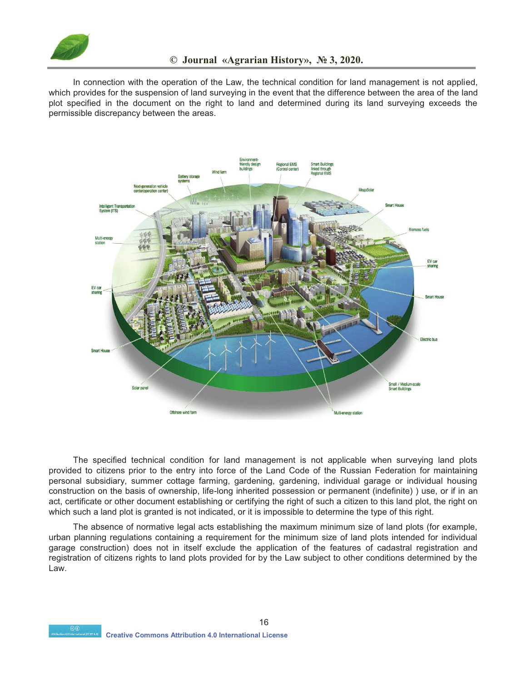

In connection with the operation of the Law, the technical condition for land management is not applied, which provides for the suspension of land surveying in the event that the difference between the area of the land plot specified in the document on the right to land and determined during its land surveying exceeds the permissible discrepancy between the areas.



The specified technical condition for land management is not applicable when surveying land plots provided to citizens prior to the entry into force of the Land Code of the Russian Federation for maintaining personal subsidiary, summer cottage farming, gardening, gardening, individual garage or individual housing construction on the basis of ownership, life-long inherited possession or permanent (indefinite) ) use, or if in an act, certificate or other document establishing or certifying the right of such a citizen to this land plot, the right on which such a land plot is granted is not indicated, or it is impossible to determine the type of this right.

The absence of normative legal acts establishing the maximum minimum size of land plots (for example, urban planning regulations containing a requirement for the minimum size of land plots intended for individual garage construction) does not in itself exclude the application of the features of cadastral registration and registration of citizens rights to land plots provided for by the Law subject to other conditions determined by the Law.

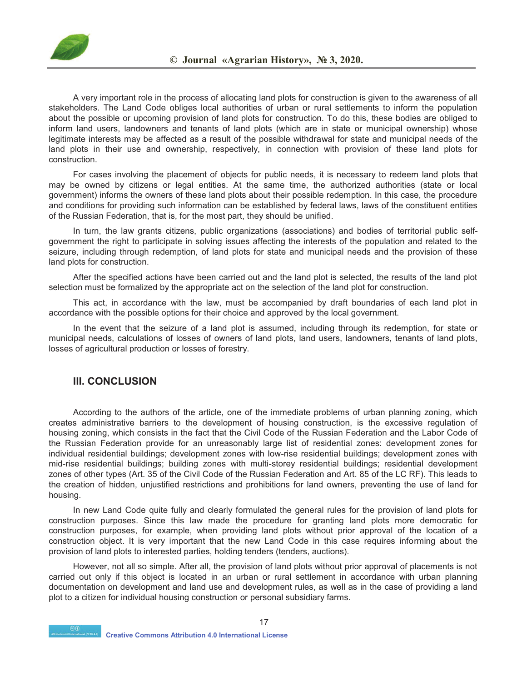

A very important role in the process of allocating land plots for construction is given to the awareness of all stakeholders. The Land Code obliges local authorities of urban or rural settlements to inform the population about the possible or upcoming provision of land plots for construction. To do this, these bodies are obliged to inform land users, landowners and tenants of land plots (which are in state or municipal ownership) whose legitimate interests may be affected as a result of the possible withdrawal for state and municipal needs of the land plots in their use and ownership, respectively, in connection with provision of these land plots for construction.

For cases involving the placement of objects for public needs, it is necessary to redeem land plots that may be owned by citizens or legal entities. At the same time, the authorized authorities (state or local government) informs the owners of these land plots about their possible redemption. In this case, the procedure and conditions for providing such information can be established by federal laws, laws of the constituent entities of the Russian Federation, that is, for the most part, they should be unified.

In turn, the law grants citizens, public organizations (associations) and bodies of territorial public selfgovernment the right to participate in solving issues affecting the interests of the population and related to the seizure, including through redemption, of land plots for state and municipal needs and the provision of these land plots for construction.

After the specified actions have been carried out and the land plot is selected, the results of the land plot selection must be formalized by the appropriate act on the selection of the land plot for construction.

This act, in accordance with the law, must be accompanied by draft boundaries of each land plot in accordance with the possible options for their choice and approved by the local government.

In the event that the seizure of a land plot is assumed, including through its redemption, for state or municipal needs, calculations of losses of owners of land plots, land users, landowners, tenants of land plots, losses of agricultural production or losses of forestry.

#### **III. CONCLUSION**

According to the authors of the article, one of the immediate problems of urban planning zoning, which creates administrative barriers to the development of housing construction, is the excessive regulation of housing zoning, which consists in the fact that the Civil Code of the Russian Federation and the Labor Code of the Russian Federation provide for an unreasonably large list of residential zones: development zones for individual residential buildings; development zones with low-rise residential buildings; development zones with mid-rise residential buildings; building zones with multi-storey residential buildings; residential development zones of other types (Art. 35 of the Civil Code of the Russian Federation and Art. 85 of the LC RF). This leads to the creation of hidden, unjustified restrictions and prohibitions for land owners, preventing the use of land for housing.

In new Land Code quite fully and clearly formulated the general rules for the provision of land plots for construction purposes. Since this law made the procedure for granting land plots more democratic for construction purposes, for example, when providing land plots without prior approval of the location of a construction object. It is very important that the new Land Code in this case requires informing about the provision of land plots to interested parties, holding tenders (tenders, auctions).

However, not all so simple. After all, the provision of land plots without prior approval of placements is not carried out only if this object is located in an urban or rural settlement in accordance with urban planning documentation on development and land use and development rules, as well as in the case of providing a land plot to a citizen for individual housing construction or personal subsidiary farms.

17

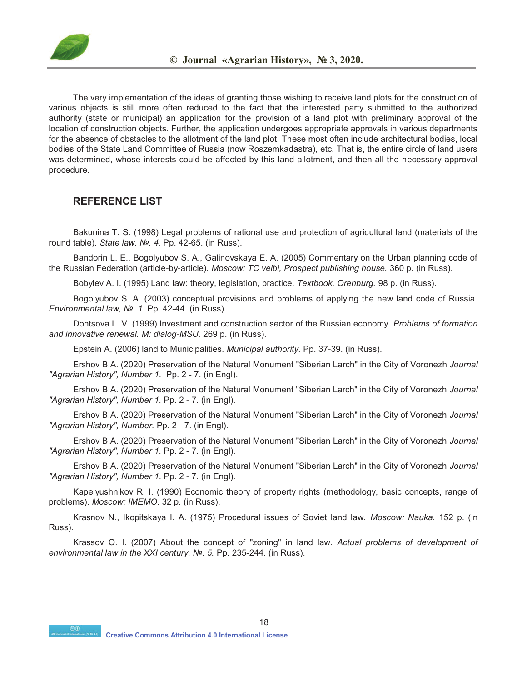

The very implementation of the ideas of granting those wishing to receive land plots for the construction of various objects is still more often reduced to the fact that the interested party submitted to the authorized authority (state or municipal) an application for the provision of a land plot with preliminary approval of the location of construction objects. Further, the application undergoes appropriate approvals in various departments for the absence of obstacles to the allotment of the land plot. These most often include architectural bodies, local bodies of the State Land Committee of Russia (now Roszemkadastra), etc. That is, the entire circle of land users was determined, whose interests could be affected by this land allotment, and then all the necessary approval procedure.

### **REFERENCE LIST**

Bakunina T. S. (1998) Legal problems of rational use and protection of agricultural land (materials of the round table). *State law. №. 4.* Pp. 42-65. (in Russ).

Bandorin L. E., Bogolyubov S. A., Galinovskaya E. A. (2005) Commentary on the Urban planning code of the Russian Federation (article-by-article). *Moscow: TC velbi, Prospect publishing house.* 360 p. (in Russ).

Bobylev A. I. (1995) Land law: theory, legislation, practice. *Textbook. Orenburg.* 98 p. (in Russ).

Bogolyubov S. A. (2003) conceptual provisions and problems of applying the new land code of Russia. *Environmental law, №. 1.* Pp. 42-44. (in Russ).

Dontsova L. V. (1999) Investment and construction sector of the Russian economy. *Problems of formation and innovative renewal. M: dialog-MSU.* 269 p. (in Russ).

Epstein A. (2006) land to Municipalities. *Municipal authority.* Pp. 37-39. (in Russ).

Ershov B.A. (2020) Preservation of the Natural Monument "Siberian Larch" in the City of Voronezh *Journal "Agrarian History", Number 1.* Pp. 2 - 7. (in Engl).

Ershov B.A. (2020) Preservation of the Natural Monument "Siberian Larch" in the City of Voronezh *Journal "Agrarian History", Number 1.* Pp. 2 - 7. (in Engl).

Ershov B.A. (2020) Preservation of the Natural Monument "Siberian Larch" in the City of Voronezh *Journal "Agrarian History", Number.* Pp. 2 - 7. (in Engl).

Ershov B.A. (2020) Preservation of the Natural Monument "Siberian Larch" in the City of Voronezh *Journal "Agrarian History", Number 1.* Pp. 2 - 7. (in Engl).

Ershov B.A. (2020) Preservation of the Natural Monument "Siberian Larch" in the City of Voronezh *Journal "Agrarian History", Number 1.* Pp. 2 - 7. (in Engl).

Kapelyushnikov R. I. (1990) Economic theory of property rights (methodology, basic concepts, range of problems). *Moscow: IMEMO.* 32 p. (in Russ).

Krasnov N., Ikopitskaya I. A. (1975) Procedural issues of Soviet land law. *Moscow: Nauka.* 152 p. (in Russ).

Krassov O. I. (2007) About the concept of "zoning" in land law. *Actual problems of development of environmental law in the XXI century. №. 5.* Pp. 235-244. (in Russ).

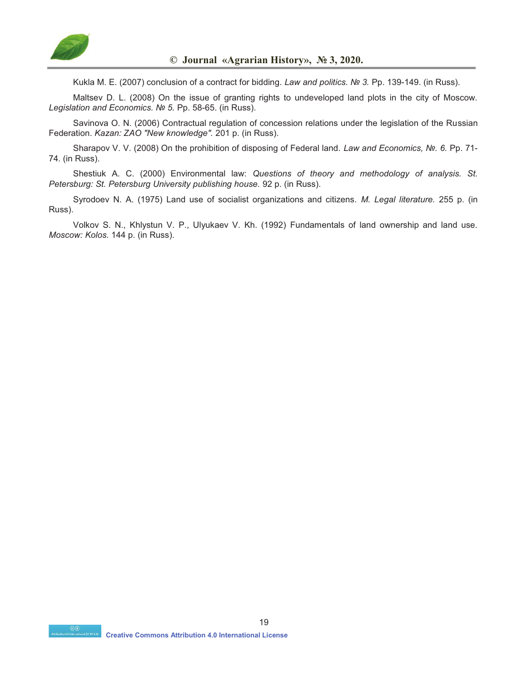

Kukla M. E. (2007) conclusion of a contract for bidding. *Law and politics. № 3.* Pp. 139-149. (in Russ).

Maltsev D. L. (2008) On the issue of granting rights to undeveloped land plots in the city of Moscow. *Legislation and Economics. № 5.* Pp. 58-65. (in Russ).

Savinova O. N. (2006) Contractual regulation of concession relations under the legislation of the Russian Federation. *Kazan: ZAO "New knowledge".* 201 p. (in Russ).

Sharapov V. V. (2008) On the prohibition of disposing of Federal land. *Law and Economics, №. 6.* Pp. 71- 74. (in Russ).

Shestiuk A. C. (2000) Environmental law: *Questions of theory and methodology of analysis. St. Petersburg: St. Petersburg University publishing house.* 92 p. (in Russ).

Syrodoev N. A. (1975) Land use of socialist organizations and citizens. *M. Legal literature.* 255 p. (in Russ).

Volkov S. N., Khlystun V. P., Ulyukaev V. Kh. (1992) Fundamentals of land ownership and land use. *Moscow: Kolos.* 144 p. (in Russ).